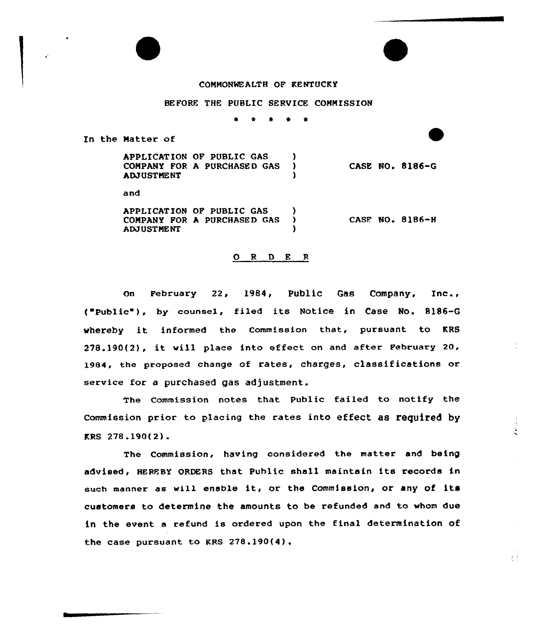## COMMONWEALTH OF KENTUCKY

## BEFORE THE PUBLIC SERVICE COMMISSION

\* \* 0 \*

In the Matter of

 $\mathbb{R}^2$ 

APPLICATION OF PUBLIC GAS (3) COMPANY FOR A PURCHASED GAS ) ADJUSTME NT ) CASE NO. 8186-G

and

APPLICATION OF PUBLIC GAS )<br>COMPANY FOR A DUPCHASED GAS ) COMPANY FOR A PURCHASED GAS ) ADJUST ME NT ) CASF NO. 8186-H

## ORDER

On February 22, 1984, Public Gas Company, Inc., ("Public"), by counsel, filed its Notice in Case No. 8186-G whereby it informed the Commission that, pursuant to KRS 278.190(2), it vill place into effect on and after February 20, 1984, the proposed change of rates, charges, classifications or service for a purchased gas adjustment.

'The Commission notes that Public failed to notify the Commission prior to placing the rates into effect as required by KRS 27&.190{2).

The Commission, having considered the matter and being advised, HEREBY ORDERS that Public shall maintain its records in such manner as will enable it, or the Commission, or any of its customers to determine the amounts to be refunded and to whom due in the event a refund is ordered upon the final determination of the case pursuant to KRS 27&.190(4).

 $\mathcal{E}^{\pm}$